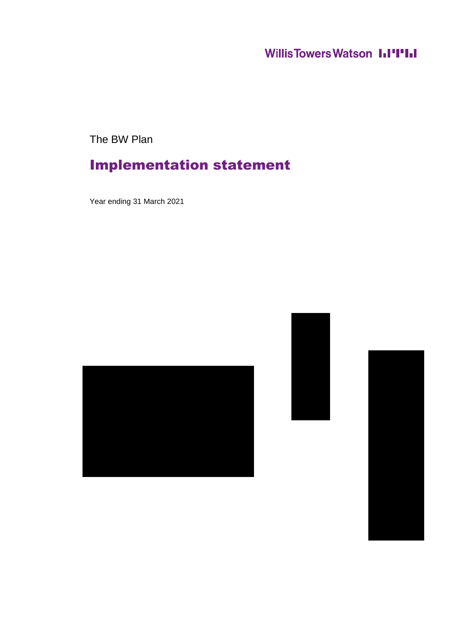### **Willis Towers Watson III'IIII**

The BW Plan

### Implementation statement

Year ending 31 March 2021





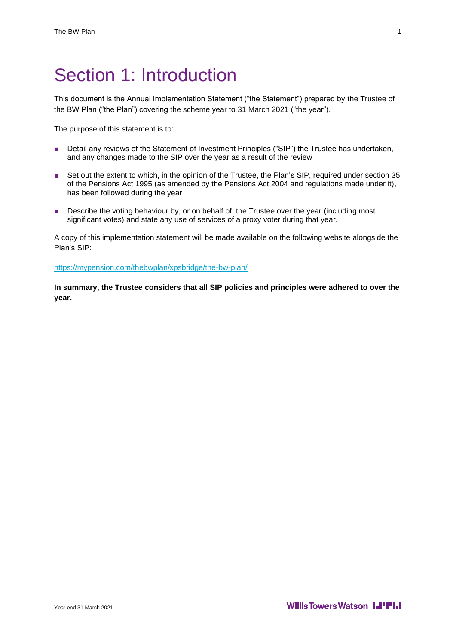### Section 1: Introduction

This document is the Annual Implementation Statement ("the Statement") prepared by the Trustee of the BW Plan ("the Plan") covering the scheme year to 31 March 2021 ("the year").

The purpose of this statement is to:

- Detail any reviews of the Statement of Investment Principles ("SIP") the Trustee has undertaken, and any changes made to the SIP over the year as a result of the review
- Set out the extent to which, in the opinion of the Trustee, the Plan's SIP, required under section 35 of the Pensions Act 1995 (as amended by the Pensions Act 2004 and regulations made under it), has been followed during the year
- Describe the voting behaviour by, or on behalf of, the Trustee over the year (including most significant votes) and state any use of services of a proxy voter during that year.

A copy of this implementation statement will be made available on the following website alongside the Plan's SIP:

<https://mypension.com/thebwplan/xpsbridge/the-bw-plan/>

**In summary, the Trustee considers that all SIP policies and principles were adhered to over the year.**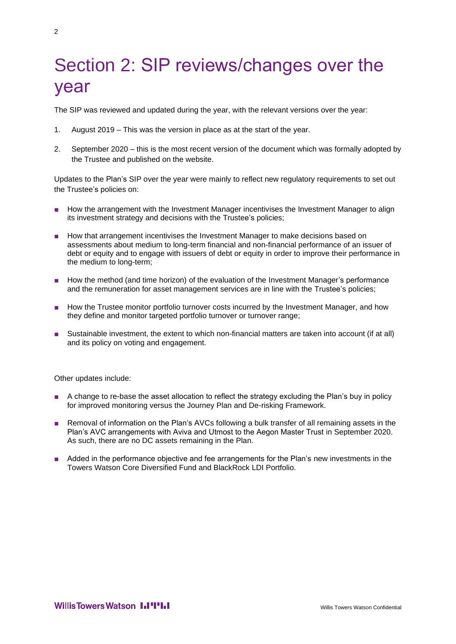## Section 2: SIP reviews/changes over the year

The SIP was reviewed and updated during the year, with the relevant versions over the year:

- 1. August 2019 This was the version in place as at the start of the year.
- 2. September 2020 this is the most recent version of the document which was formally adopted by the Trustee and published on the website.

Updates to the Plan's SIP over the year were mainly to reflect new regulatory requirements to set out the Trustee's policies on:

- How the arrangement with the Investment Manager incentivises the Investment Manager to align its investment strategy and decisions with the Trustee's policies;
- How that arrangement incentivises the Investment Manager to make decisions based on assessments about medium to long-term financial and non-financial performance of an issuer of debt or equity and to engage with issuers of debt or equity in order to improve their performance in the medium to long-term;
- How the method (and time horizon) of the evaluation of the Investment Manager's performance and the remuneration for asset management services are in line with the Trustee's policies;
- How the Trustee monitor portfolio turnover costs incurred by the Investment Manager, and how they define and monitor targeted portfolio turnover or turnover range;
- Sustainable investment, the extent to which non-financial matters are taken into account (if at all) and its policy on voting and engagement.

Other updates include:

- A change to re-base the asset allocation to reflect the strategy excluding the Plan's buy in policy for improved monitoring versus the Journey Plan and De-risking Framework.
- Removal of information on the Plan's AVCs following a bulk transfer of all remaining assets in the Plan's AVC arrangements with Aviva and Utmost to the Aegon Master Trust in September 2020. As such, there are no DC assets remaining in the Plan.
- Added in the performance objective and fee arrangements for the Plan's new investments in the Towers Watson Core Diversified Fund and BlackRock LDI Portfolio.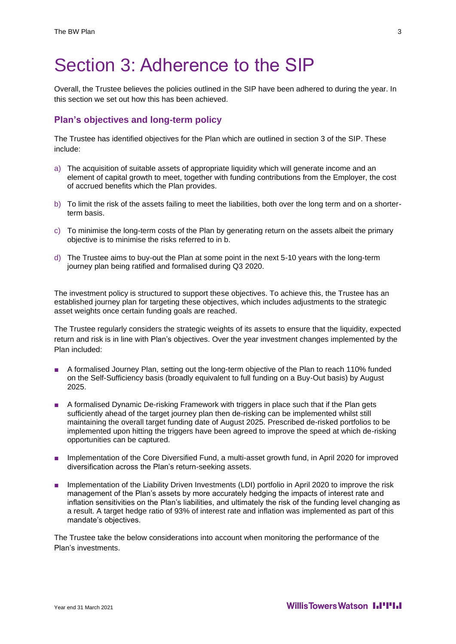## Section 3: Adherence to the SIP

Overall, the Trustee believes the policies outlined in the SIP have been adhered to during the year. In this section we set out how this has been achieved.

#### **Plan's objectives and long-term policy**

The Trustee has identified objectives for the Plan which are outlined in section 3 of the SIP. These include:

- a) The acquisition of suitable assets of appropriate liquidity which will generate income and an element of capital growth to meet, together with funding contributions from the Employer, the cost of accrued benefits which the Plan provides.
- b) To limit the risk of the assets failing to meet the liabilities, both over the long term and on a shorterterm basis.
- c) To minimise the long-term costs of the Plan by generating return on the assets albeit the primary objective is to minimise the risks referred to in b.
- d) The Trustee aims to buy-out the Plan at some point in the next 5-10 years with the long-term journey plan being ratified and formalised during Q3 2020.

The investment policy is structured to support these objectives. To achieve this, the Trustee has an established journey plan for targeting these objectives, which includes adjustments to the strategic asset weights once certain funding goals are reached.

The Trustee regularly considers the strategic weights of its assets to ensure that the liquidity, expected return and risk is in line with Plan's objectives. Over the year investment changes implemented by the Plan included:

- A formalised Journey Plan, setting out the long-term objective of the Plan to reach 110% funded on the Self-Sufficiency basis (broadly equivalent to full funding on a Buy-Out basis) by August 2025.
- A formalised Dynamic De-risking Framework with triggers in place such that if the Plan gets sufficiently ahead of the target journey plan then de-risking can be implemented whilst still maintaining the overall target funding date of August 2025. Prescribed de-risked portfolios to be implemented upon hitting the triggers have been agreed to improve the speed at which de-risking opportunities can be captured.
- Implementation of the Core Diversified Fund, a multi-asset growth fund, in April 2020 for improved diversification across the Plan's return-seeking assets.
- Implementation of the Liability Driven Investments (LDI) portfolio in April 2020 to improve the risk management of the Plan's assets by more accurately hedging the impacts of interest rate and inflation sensitivities on the Plan's liabilities, and ultimately the risk of the funding level changing as a result. A target hedge ratio of 93% of interest rate and inflation was implemented as part of this mandate's objectives.

The Trustee take the below considerations into account when monitoring the performance of the Plan's investments.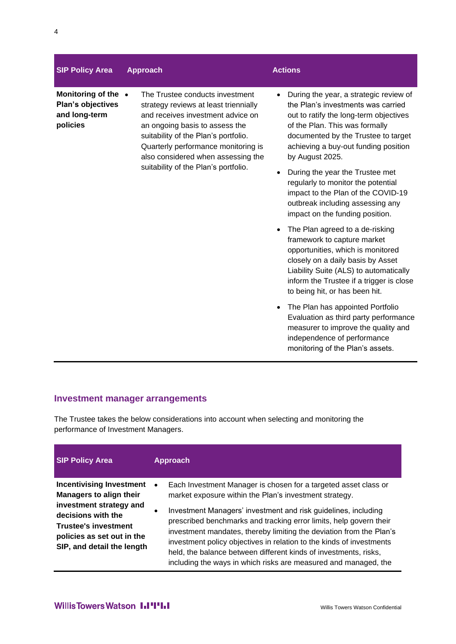| <b>SIP Policy Area</b>                                                | <b>Approach</b>                                                                                                                                                                                                                                                                                              | <b>Actions</b>                                                                                                                                                                                                                                                                                                                                                                                                                                                                                                                                                                                                                                                                                                                                                                                                                                                                                              |
|-----------------------------------------------------------------------|--------------------------------------------------------------------------------------------------------------------------------------------------------------------------------------------------------------------------------------------------------------------------------------------------------------|-------------------------------------------------------------------------------------------------------------------------------------------------------------------------------------------------------------------------------------------------------------------------------------------------------------------------------------------------------------------------------------------------------------------------------------------------------------------------------------------------------------------------------------------------------------------------------------------------------------------------------------------------------------------------------------------------------------------------------------------------------------------------------------------------------------------------------------------------------------------------------------------------------------|
| Monitoring of the •<br>Plan's objectives<br>and long-term<br>policies | The Trustee conducts investment<br>strategy reviews at least triennially<br>and receives investment advice on<br>an ongoing basis to assess the<br>suitability of the Plan's portfolio.<br>Quarterly performance monitoring is<br>also considered when assessing the<br>suitability of the Plan's portfolio. | During the year, a strategic review of<br>the Plan's investments was carried<br>out to ratify the long-term objectives<br>of the Plan. This was formally<br>documented by the Trustee to target<br>achieving a buy-out funding position<br>by August 2025.<br>During the year the Trustee met<br>regularly to monitor the potential<br>impact to the Plan of the COVID-19<br>outbreak including assessing any<br>impact on the funding position.<br>The Plan agreed to a de-risking<br>framework to capture market<br>opportunities, which is monitored<br>closely on a daily basis by Asset<br>Liability Suite (ALS) to automatically<br>inform the Trustee if a trigger is close<br>to being hit, or has been hit.<br>The Plan has appointed Portfolio<br>Evaluation as third party performance<br>measurer to improve the quality and<br>independence of performance<br>monitoring of the Plan's assets. |
|                                                                       |                                                                                                                                                                                                                                                                                                              |                                                                                                                                                                                                                                                                                                                                                                                                                                                                                                                                                                                                                                                                                                                                                                                                                                                                                                             |

#### **Investment manager arrangements**

The Trustee takes the below considerations into account when selecting and monitoring the performance of Investment Managers.

| <b>SIP Policy Area</b>                                                                                                                                                                                        | <b>Approach</b>                                                                                                                                                                                                                                                                                                                                                                                                                                                                                                                                         |
|---------------------------------------------------------------------------------------------------------------------------------------------------------------------------------------------------------------|---------------------------------------------------------------------------------------------------------------------------------------------------------------------------------------------------------------------------------------------------------------------------------------------------------------------------------------------------------------------------------------------------------------------------------------------------------------------------------------------------------------------------------------------------------|
| <b>Incentivising Investment</b><br><b>Managers to align their</b><br>investment strategy and<br>decisions with the<br><b>Trustee's investment</b><br>policies as set out in the<br>SIP, and detail the length | Each Investment Manager is chosen for a targeted asset class or<br>market exposure within the Plan's investment strategy.<br>Investment Managers' investment and risk guidelines, including<br>prescribed benchmarks and tracking error limits, help govern their<br>investment mandates, thereby limiting the deviation from the Plan's<br>investment policy objectives in relation to the kinds of investments<br>held, the balance between different kinds of investments, risks,<br>including the ways in which risks are measured and managed, the |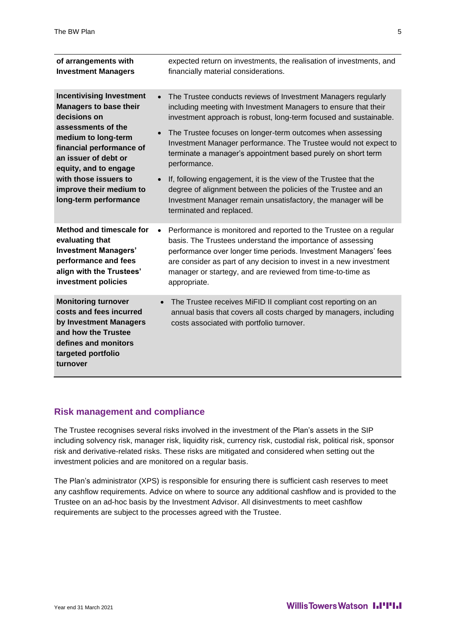| of arrangements with<br><b>Investment Managers</b>                                                                                                                                                                                                                                      | expected return on investments, the realisation of investments, and<br>financially material considerations.                                                                                                                                                                                                                                                                                                                                                                                                                                                                                                                                                          |
|-----------------------------------------------------------------------------------------------------------------------------------------------------------------------------------------------------------------------------------------------------------------------------------------|----------------------------------------------------------------------------------------------------------------------------------------------------------------------------------------------------------------------------------------------------------------------------------------------------------------------------------------------------------------------------------------------------------------------------------------------------------------------------------------------------------------------------------------------------------------------------------------------------------------------------------------------------------------------|
| <b>Incentivising Investment</b><br><b>Managers to base their</b><br>decisions on<br>assessments of the<br>medium to long-term<br>financial performance of<br>an issuer of debt or<br>equity, and to engage<br>with those issuers to<br>improve their medium to<br>long-term performance | The Trustee conducts reviews of Investment Managers regularly<br>$\bullet$<br>including meeting with Investment Managers to ensure that their<br>investment approach is robust, long-term focused and sustainable.<br>The Trustee focuses on longer-term outcomes when assessing<br>$\bullet$<br>Investment Manager performance. The Trustee would not expect to<br>terminate a manager's appointment based purely on short term<br>performance.<br>If, following engagement, it is the view of the Trustee that the<br>$\bullet$<br>degree of alignment between the policies of the Trustee and an<br>Investment Manager remain unsatisfactory, the manager will be |
|                                                                                                                                                                                                                                                                                         | terminated and replaced.                                                                                                                                                                                                                                                                                                                                                                                                                                                                                                                                                                                                                                             |
| <b>Method and timescale for</b><br>evaluating that<br><b>Investment Managers'</b><br>performance and fees<br>align with the Trustees'<br>investment policies                                                                                                                            | Performance is monitored and reported to the Trustee on a regular<br>$\bullet$<br>basis. The Trustees understand the importance of assessing<br>performance over longer time periods. Investment Managers' fees<br>are consider as part of any decision to invest in a new investment<br>manager or startegy, and are reviewed from time-to-time as<br>appropriate.                                                                                                                                                                                                                                                                                                  |
| <b>Monitoring turnover</b><br>costs and fees incurred<br>by Investment Managers<br>and how the Trustee<br>defines and monitors<br>targeted portfolio<br>turnover                                                                                                                        | The Trustee receives MiFID II compliant cost reporting on an<br>$\bullet$<br>annual basis that covers all costs charged by managers, including<br>costs associated with portfolio turnover.                                                                                                                                                                                                                                                                                                                                                                                                                                                                          |

#### **Risk management and compliance**

The Trustee recognises several risks involved in the investment of the Plan's assets in the SIP including solvency risk, manager risk, liquidity risk, currency risk, custodial risk, political risk, sponsor risk and derivative-related risks. These risks are mitigated and considered when setting out the investment policies and are monitored on a regular basis.

The Plan's administrator (XPS) is responsible for ensuring there is sufficient cash reserves to meet any cashflow requirements. Advice on where to source any additional cashflow and is provided to the Trustee on an ad-hoc basis by the Investment Advisor. All disinvestments to meet cashflow requirements are subject to the processes agreed with the Trustee.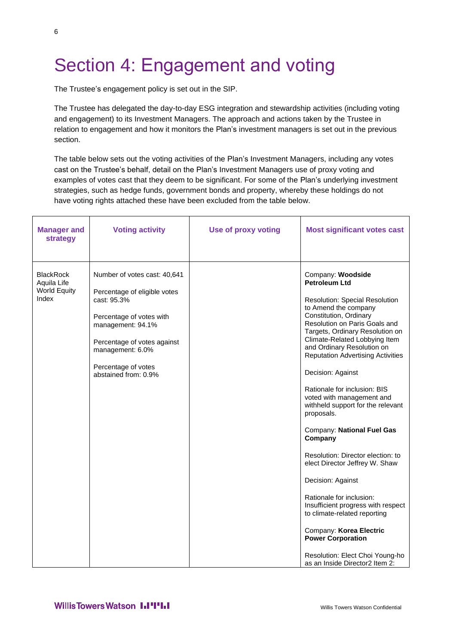# Section 4: Engagement and voting

The Trustee's engagement policy is set out in the SIP.

The Trustee has delegated the day-to-day ESG integration and stewardship activities (including voting and engagement) to its Investment Managers. The approach and actions taken by the Trustee in relation to engagement and how it monitors the Plan's investment managers is set out in the previous section.

The table below sets out the voting activities of the Plan's Investment Managers, including any votes cast on the Trustee's behalf, detail on the Plan's Investment Managers use of proxy voting and examples of votes cast that they deem to be significant. For some of the Plan's underlying investment strategies, such as hedge funds, government bonds and property, whereby these holdings do not have voting rights attached these have been excluded from the table below.

| <b>Manager and</b><br>strategy                                  | <b>Voting activity</b>                                                                                                                                                                                                         | <b>Use of proxy voting</b> | <b>Most significant votes cast</b>                                                                                                                                                                                                                                                                                                                                                                                                                                                                                                                                                                                                                                                                                                                                                                                          |
|-----------------------------------------------------------------|--------------------------------------------------------------------------------------------------------------------------------------------------------------------------------------------------------------------------------|----------------------------|-----------------------------------------------------------------------------------------------------------------------------------------------------------------------------------------------------------------------------------------------------------------------------------------------------------------------------------------------------------------------------------------------------------------------------------------------------------------------------------------------------------------------------------------------------------------------------------------------------------------------------------------------------------------------------------------------------------------------------------------------------------------------------------------------------------------------------|
| <b>BlackRock</b><br>Aquila Life<br><b>World Equity</b><br>Index | Number of votes cast: 40,641<br>Percentage of eligible votes<br>cast: 95.3%<br>Percentage of votes with<br>management: 94.1%<br>Percentage of votes against<br>management: 6.0%<br>Percentage of votes<br>abstained from: 0.9% |                            | Company: Woodside<br><b>Petroleum Ltd</b><br><b>Resolution: Special Resolution</b><br>to Amend the company<br>Constitution, Ordinary<br>Resolution on Paris Goals and<br>Targets, Ordinary Resolution on<br>Climate-Related Lobbying Item<br>and Ordinary Resolution on<br><b>Reputation Advertising Activities</b><br>Decision: Against<br>Rationale for inclusion: BIS<br>voted with management and<br>withheld support for the relevant<br>proposals.<br>Company: National Fuel Gas<br>Company<br>Resolution: Director election: to<br>elect Director Jeffrey W. Shaw<br>Decision: Against<br>Rationale for inclusion:<br>Insufficient progress with respect<br>to climate-related reporting<br>Company: Korea Electric<br><b>Power Corporation</b><br>Resolution: Elect Choi Young-ho<br>as an Inside Director2 Item 2: |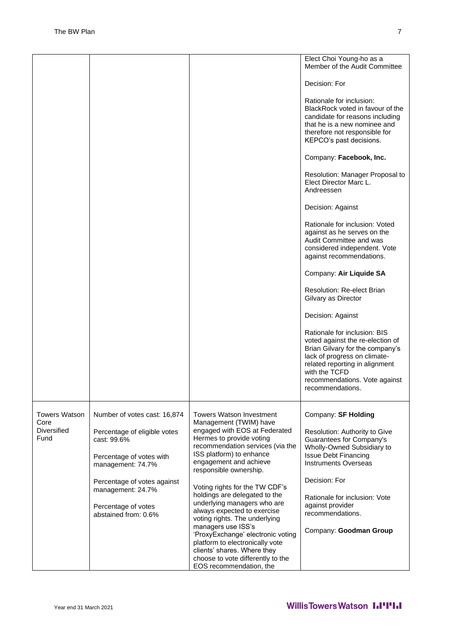|                                    |                                                                                              |                                                                                                                                                                                                         | Elect Choi Young-ho as a<br>Member of the Audit Committee                                                                                                                                                                                   |
|------------------------------------|----------------------------------------------------------------------------------------------|---------------------------------------------------------------------------------------------------------------------------------------------------------------------------------------------------------|---------------------------------------------------------------------------------------------------------------------------------------------------------------------------------------------------------------------------------------------|
|                                    |                                                                                              |                                                                                                                                                                                                         | Decision: For                                                                                                                                                                                                                               |
|                                    |                                                                                              |                                                                                                                                                                                                         | Rationale for inclusion:<br>BlackRock voted in favour of the<br>candidate for reasons including<br>that he is a new nominee and<br>therefore not responsible for<br>KEPCO's past decisions.                                                 |
|                                    |                                                                                              |                                                                                                                                                                                                         | Company: Facebook, Inc.                                                                                                                                                                                                                     |
|                                    |                                                                                              |                                                                                                                                                                                                         | Resolution: Manager Proposal to<br>Elect Director Marc L.<br>Andreessen                                                                                                                                                                     |
|                                    |                                                                                              |                                                                                                                                                                                                         | Decision: Against                                                                                                                                                                                                                           |
|                                    |                                                                                              |                                                                                                                                                                                                         | Rationale for inclusion: Voted<br>against as he serves on the<br>Audit Committee and was<br>considered independent. Vote<br>against recommendations.                                                                                        |
|                                    |                                                                                              |                                                                                                                                                                                                         | Company: Air Liquide SA                                                                                                                                                                                                                     |
|                                    |                                                                                              |                                                                                                                                                                                                         | <b>Resolution: Re-elect Brian</b><br>Gilvary as Director                                                                                                                                                                                    |
|                                    |                                                                                              |                                                                                                                                                                                                         | Decision: Against                                                                                                                                                                                                                           |
|                                    |                                                                                              |                                                                                                                                                                                                         | Rationale for inclusion: BIS<br>voted against the re-election of<br>Brian Gilvary for the company's<br>lack of progress on climate-<br>related reporting in alignment<br>with the TCFD<br>recommendations. Vote against<br>recommendations. |
| <b>Towers Watson</b>               | Number of votes cast: 16,874                                                                 | <b>Towers Watson Investment</b>                                                                                                                                                                         | Company: SF Holding                                                                                                                                                                                                                         |
| Core<br><b>Diversified</b><br>Fund | Percentage of eligible votes<br>cast: 99.6%<br>Percentage of votes with<br>management: 74.7% | Management (TWIM) have<br>engaged with EOS at Federated<br>Hermes to provide voting<br>recommendation services (via the<br>ISS platform) to enhance<br>engagement and achieve<br>responsible ownership. | Resolution: Authority to Give<br>Guarantees for Company's<br>Wholly-Owned Subsidiary to<br><b>Issue Debt Financing</b><br><b>Instruments Overseas</b>                                                                                       |
|                                    | Percentage of votes against<br>management: 24.7%                                             | Voting rights for the TW CDF's                                                                                                                                                                          | Decision: For                                                                                                                                                                                                                               |
|                                    | Percentage of votes<br>abstained from: 0.6%                                                  | holdings are delegated to the<br>underlying managers who are<br>always expected to exercise<br>voting rights. The underlying<br>managers use ISS's                                                      | Rationale for inclusion: Vote<br>against provider<br>recommendations.                                                                                                                                                                       |
|                                    |                                                                                              | 'ProxyExchange' electronic voting<br>platform to electronically vote<br>clients' shares. Where they<br>choose to vote differently to the<br>EOS recommendation, the                                     | Company: Goodman Group                                                                                                                                                                                                                      |